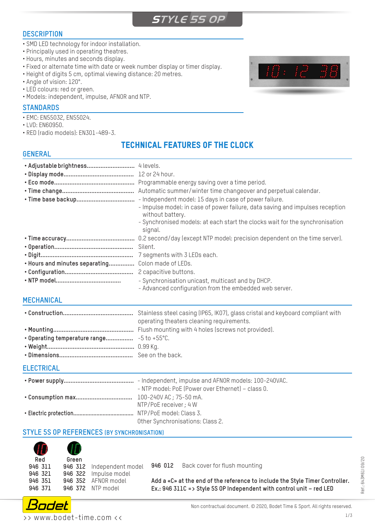# **STYLE 5S OP**

### **DESCRIPTION**

- SMD LED technology for indoor installation.
- Principally used in operating theatres.
- Hours, minutes and seconds display.
- Fixed or alternate time with date or week number display or timer display.
- Height of digits 5 cm, optimal viewing distance: 20 metres.
- Angle of vision: 120°.
- LED colours: red or green.
- Models: independent, impulse, AFNOR and NTP.

#### **STANDARDS**

- EMC: EN55032, EN55024.
- LVD: EN60950.
- RED (radio models): EN301-489-3.

## TECHNICAL FEATURES OF THE CLOCK

### **GENERAL**

|                                | Programmable energy saving over a time period.<br>Automatic summer/winter time changeover and perpetual calendar.<br>- Independent model: 15 days in case of power failure.<br>- Impulse model: in case of power failure, data saving and impulses reception<br>without battery.<br>- Synchronised models: at each start the clocks wait for the synchronisation<br>signal. |
|--------------------------------|-----------------------------------------------------------------------------------------------------------------------------------------------------------------------------------------------------------------------------------------------------------------------------------------------------------------------------------------------------------------------------|
|                                | 0.2 second/day (except NTP model: precision dependent on the time server).                                                                                                                                                                                                                                                                                                  |
|                                | Silent.                                                                                                                                                                                                                                                                                                                                                                     |
|                                | 7 segments with 3 LEDs each.                                                                                                                                                                                                                                                                                                                                                |
| . Hours and minutes separating | Colon made of LEDs.                                                                                                                                                                                                                                                                                                                                                         |
|                                | 2 capacitive buttons.                                                                                                                                                                                                                                                                                                                                                       |
|                                | - Synchronisation unicast, multicast and by DHCP.<br>- Advanced configuration from the embedded web server.                                                                                                                                                                                                                                                                 |

### **MECHANICAL**

| operating theaters cleaning requirements. |  |
|-------------------------------------------|--|
|                                           |  |
|                                           |  |
|                                           |  |
|                                           |  |
|                                           |  |

### **ELECTRICAL**

| - NTP model: PoE (Power over Ethernet) - class 0. |
|---------------------------------------------------|
|                                                   |
| NTP/PoE receiver ; 4 W                            |
|                                                   |
| Other Synchronisations: Class 2.                  |

### **STYLE 5S OP REFERENCES (BY SYNCHRONISATION)**



**946 371 946 372** NTP model

**946 012** Back cover for flush mounting

Réf.: 643M61109/20 Réf.: 643M61I 09/20

**Add a «C» at the end of the reference to include the Style Timer Controller. Ex.: 946 311C => Style 5S OP Independent with control unit – red LED**



>> www.bodet-time.com <<

-12-9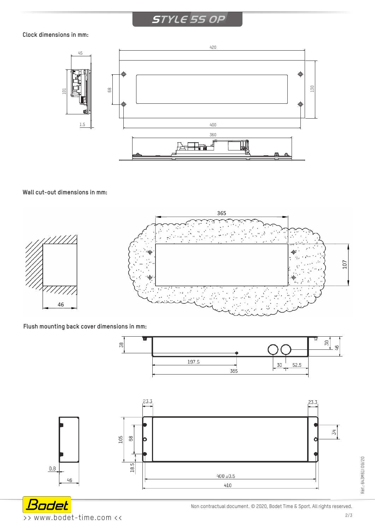# **STYLE 5S OP**

### **Clock dimensions in mm:**



### **Wall cut-out dimensions in mm:**



### **Flush mounting back cover dimensions in mm:**



Bodet >> www.bodet-time.com <<

Non contractual document. © 2020, Bodet Time & Sport. All rights reserved.

Réf.: 643M61I 09/20

Réf.: 643M61109/20